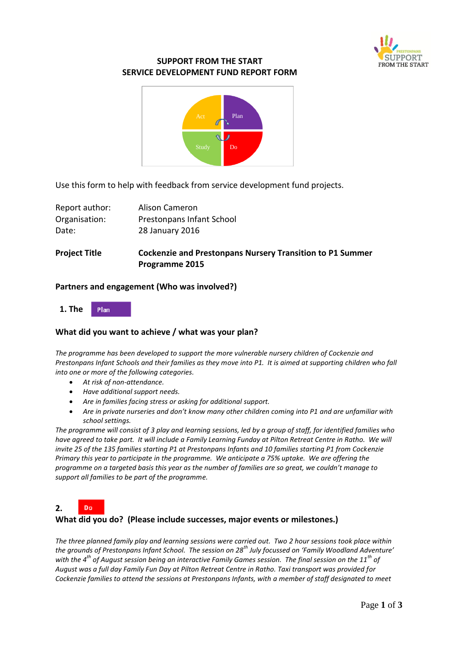

# **SUPPORT FROM THE START SERVICE DEVELOPMENT FUND REPORT FORM**



Use this form to help with feedback from service development fund projects.

| Report author: | Alison Cameron            |
|----------------|---------------------------|
| Organisation:  | Prestonpans Infant School |
| Date:          | 28 January 2016           |
|                |                           |

# **Project Title Cockenzie and Prestonpans Nursery Transition to P1 Summer Programme 2015**

#### **Partners and engagement (Who was involved?)**



# **What did you want to achieve / what was your plan?**

*The programme has been developed to support the more vulnerable nursery children of Cockenzie and Prestonpans Infant Schools and their families as they move into P1. It is aimed at supporting children who fall into one or more of the following categories.*

- *At risk of non-attendance.*
- *Have additional support needs.*
- *Are in families facing stress or asking for additional support.*
- *Are in private nurseries and don't know many other children coming into P1 and are unfamiliar with school settings.*

*The programme will consist of 3 play and learning sessions, led by a group of staff, for identified families who have agreed to take part. It will include a Family Learning Funday at Pilton Retreat Centre in Ratho. We will invite 25 of the 135 families starting P1 at Prestonpans Infants and 10 families starting P1 from Cockenzie Primary this year to participate in the programme. We anticipate a 75% uptake. We are offering the programme on a targeted basis this year as the number of families are so great, we couldn't manage to support all families to be part of the programme.* 

Do **2.** 

# **What did you do? (Please include successes, major events or milestones.)**

*The three planned family play and learning sessions were carried out. Two 2 hour sessions took place within the grounds of Prestonpans Infant School. The session on 28th July focussed on 'Family Woodland Adventure' with the 4th of August session being an interactive Family Games session. The final session on the 11th of August was a full day Family Fun Day at Pilton Retreat Centre in Ratho. Taxi transport was provided for Cockenzie families to attend the sessions at Prestonpans Infants, with a member of staff designated to meet*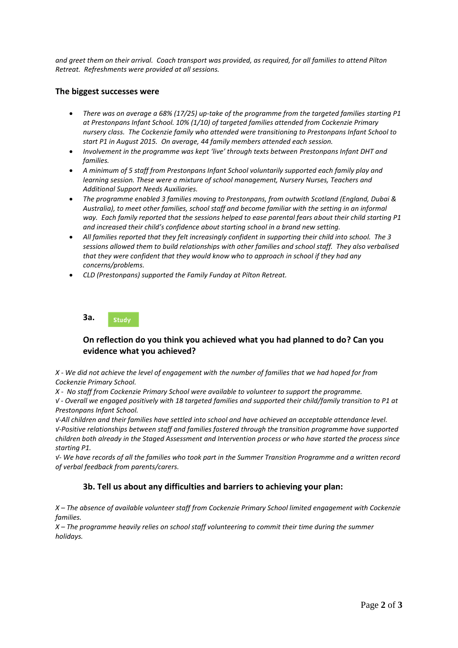*and greet them on their arrival. Coach transport was provided, as required, for all families to attend Pilton Retreat. Refreshments were provided at all sessions.*

#### **The biggest successes were**

- *There was on average a 68% (17/25) up-take of the programme from the targeted families starting P1 at Prestonpans Infant School. 10% (1/10) of targeted families attended from Cockenzie Primary nursery class. The Cockenzie family who attended were transitioning to Prestonpans Infant School to start P1 in August 2015. On average, 44 family members attended each session.*
- *Involvement in the programme was kept 'live' through texts between Prestonpans Infant DHT and families.*
- *A minimum of 5 staff from Prestonpans Infant School voluntarily supported each family play and learning session. These were a mixture of school management, Nursery Nurses, Teachers and Additional Support Needs Auxiliaries.*
- *The programme enabled 3 families moving to Prestonpans, from outwith Scotland (England, Dubai & Australia), to meet other families, school staff and become familiar with the setting in an informal way. Each family reported that the sessions helped to ease parental fears about their child starting P1 and increased their child's confidence about starting school in a brand new setting.*
- *All families reported that they felt increasingly confident in supporting their child into school. The 3 sessions allowed them to build relationships with other families and school staff. They also verbalised that they were confident that they would know who to approach in school if they had any concerns/problems.*
- *CLD (Prestonpans) supported the Family Funday at Pilton Retreat.*

**3a.**  Study

# **On reflection do you think you achieved what you had planned to do? Can you evidence what you achieved?**

*X - We did not achieve the level of engagement with the number of families that we had hoped for from Cockenzie Primary School.*

*X - No staff from Cockenzie Primary School were available to volunteer to support the programme.*

*√ - Overall we engaged positively with 18 targeted families and supported their child/family transition to P1 at Prestonpans Infant School.* 

*√-All children and their families have settled into school and have achieved an acceptable attendance level. √-Positive relationships between staff and families fostered through the transition programme have supported children both already in the Staged Assessment and Intervention process or who have started the process since starting P1.*

*√- We have records of all the families who took part in the Summer Transition Programme and a written record of verbal feedback from parents/carers.*

# **3b. Tell us about any difficulties and barriers to achieving your plan:**

*X – The absence of available volunteer staff from Cockenzie Primary School limited engagement with Cockenzie families.*

*X – The programme heavily relies on school staff volunteering to commit their time during the summer holidays.*